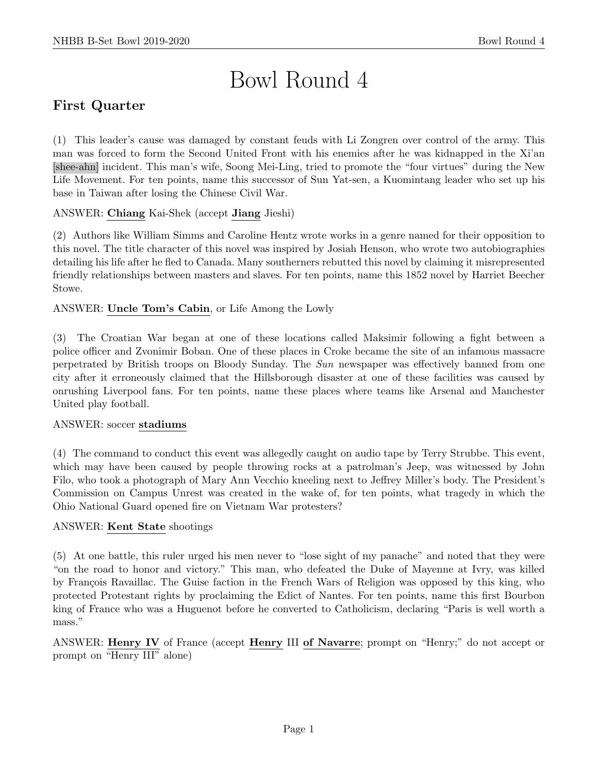# Bowl Round 4

# First Quarter

(1) This leader's cause was damaged by constant feuds with Li Zongren over control of the army. This man was forced to form the Second United Front with his enemies after he was kidnapped in the Xi'an [shee-ahn] incident. This man's wife, Soong Mei-Ling, tried to promote the "four virtues" during the New Life Movement. For ten points, name this successor of Sun Yat-sen, a Kuomintang leader who set up his base in Taiwan after losing the Chinese Civil War.

## ANSWER: Chiang Kai-Shek (accept Jiang Jieshi)

(2) Authors like William Simms and Caroline Hentz wrote works in a genre named for their opposition to this novel. The title character of this novel was inspired by Josiah Henson, who wrote two autobiographies detailing his life after he fled to Canada. Many southerners rebutted this novel by claiming it misrepresented friendly relationships between masters and slaves. For ten points, name this 1852 novel by Harriet Beecher Stowe.

## ANSWER: Uncle Tom's Cabin, or Life Among the Lowly

(3) The Croatian War began at one of these locations called Maksimir following a fight between a police officer and Zvonimir Boban. One of these places in Croke became the site of an infamous massacre perpetrated by British troops on Bloody Sunday. The Sun newspaper was effectively banned from one city after it erroneously claimed that the Hillsborough disaster at one of these facilities was caused by onrushing Liverpool fans. For ten points, name these places where teams like Arsenal and Manchester United play football.

#### ANSWER: soccer stadiums

(4) The command to conduct this event was allegedly caught on audio tape by Terry Strubbe. This event, which may have been caused by people throwing rocks at a patrolman's Jeep, was witnessed by John Filo, who took a photograph of Mary Ann Vecchio kneeling next to Jeffrey Miller's body. The President's Commission on Campus Unrest was created in the wake of, for ten points, what tragedy in which the Ohio National Guard opened fire on Vietnam War protesters?

#### ANSWER: Kent State shootings

(5) At one battle, this ruler urged his men never to "lose sight of my panache" and noted that they were "on the road to honor and victory." This man, who defeated the Duke of Mayenne at Ivry, was killed by François Ravaillac. The Guise faction in the French Wars of Religion was opposed by this king, who protected Protestant rights by proclaiming the Edict of Nantes. For ten points, name this first Bourbon king of France who was a Huguenot before he converted to Catholicism, declaring "Paris is well worth a mass."

ANSWER: Henry IV of France (accept Henry III of Navarre; prompt on "Henry;" do not accept or prompt on "Henry III" alone)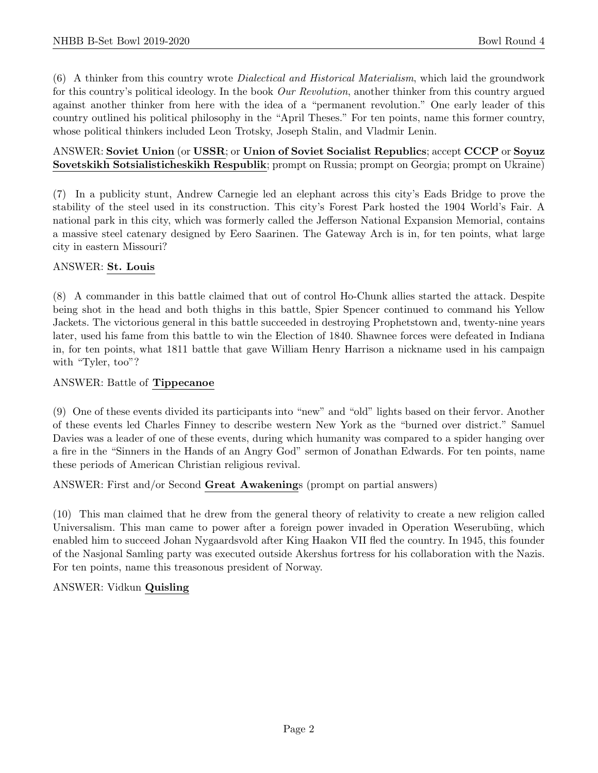(6) A thinker from this country wrote Dialectical and Historical Materialism, which laid the groundwork for this country's political ideology. In the book Our Revolution, another thinker from this country argued against another thinker from here with the idea of a "permanent revolution." One early leader of this country outlined his political philosophy in the "April Theses." For ten points, name this former country, whose political thinkers included Leon Trotsky, Joseph Stalin, and Vladmir Lenin.

#### ANSWER: Soviet Union (or USSR; or Union of Soviet Socialist Republics; accept CCCP or Soyuz Sovetskikh Sotsialisticheskikh Respublik; prompt on Russia; prompt on Georgia; prompt on Ukraine)

(7) In a publicity stunt, Andrew Carnegie led an elephant across this city's Eads Bridge to prove the stability of the steel used in its construction. This city's Forest Park hosted the 1904 World's Fair. A national park in this city, which was formerly called the Jefferson National Expansion Memorial, contains a massive steel catenary designed by Eero Saarinen. The Gateway Arch is in, for ten points, what large city in eastern Missouri?

## ANSWER: St. Louis

(8) A commander in this battle claimed that out of control Ho-Chunk allies started the attack. Despite being shot in the head and both thighs in this battle, Spier Spencer continued to command his Yellow Jackets. The victorious general in this battle succeeded in destroying Prophetstown and, twenty-nine years later, used his fame from this battle to win the Election of 1840. Shawnee forces were defeated in Indiana in, for ten points, what 1811 battle that gave William Henry Harrison a nickname used in his campaign with "Tyler, too"?

#### ANSWER: Battle of Tippecanoe

(9) One of these events divided its participants into "new" and "old" lights based on their fervor. Another of these events led Charles Finney to describe western New York as the "burned over district." Samuel Davies was a leader of one of these events, during which humanity was compared to a spider hanging over a fire in the "Sinners in the Hands of an Angry God" sermon of Jonathan Edwards. For ten points, name these periods of American Christian religious revival.

ANSWER: First and/or Second Great Awakenings (prompt on partial answers)

(10) This man claimed that he drew from the general theory of relativity to create a new religion called Universalism. This man came to power after a foreign power invaded in Operation Weserubüng, which enabled him to succeed Johan Nygaardsvold after King Haakon VII fled the country. In 1945, this founder of the Nasjonal Samling party was executed outside Akershus fortress for his collaboration with the Nazis. For ten points, name this treasonous president of Norway.

#### ANSWER: Vidkun Quisling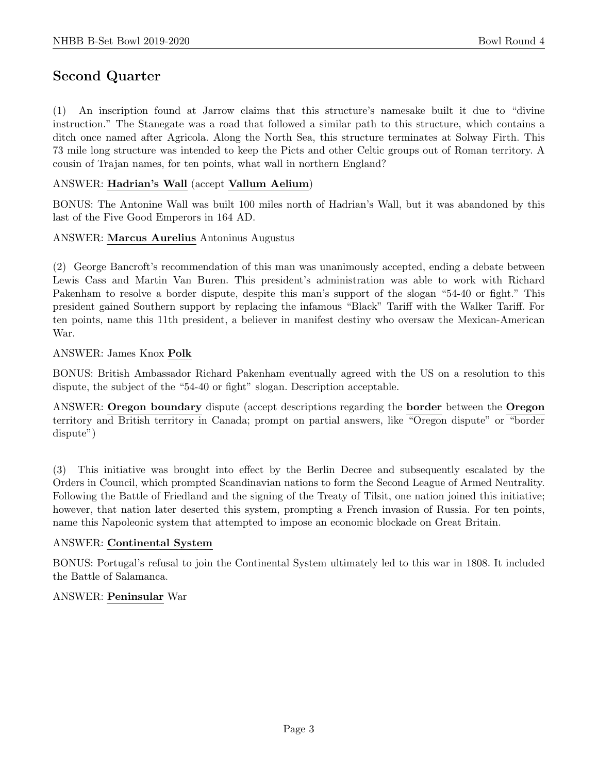# Second Quarter

(1) An inscription found at Jarrow claims that this structure's namesake built it due to "divine instruction." The Stanegate was a road that followed a similar path to this structure, which contains a ditch once named after Agricola. Along the North Sea, this structure terminates at Solway Firth. This 73 mile long structure was intended to keep the Picts and other Celtic groups out of Roman territory. A cousin of Trajan names, for ten points, what wall in northern England?

#### ANSWER: Hadrian's Wall (accept Vallum Aelium)

BONUS: The Antonine Wall was built 100 miles north of Hadrian's Wall, but it was abandoned by this last of the Five Good Emperors in 164 AD.

#### ANSWER: Marcus Aurelius Antoninus Augustus

(2) George Bancroft's recommendation of this man was unanimously accepted, ending a debate between Lewis Cass and Martin Van Buren. This president's administration was able to work with Richard Pakenham to resolve a border dispute, despite this man's support of the slogan "54-40 or fight." This president gained Southern support by replacing the infamous "Black" Tariff with the Walker Tariff. For ten points, name this 11th president, a believer in manifest destiny who oversaw the Mexican-American War.

#### ANSWER: James Knox Polk

BONUS: British Ambassador Richard Pakenham eventually agreed with the US on a resolution to this dispute, the subject of the "54-40 or fight" slogan. Description acceptable.

ANSWER: Oregon boundary dispute (accept descriptions regarding the border between the Oregon territory and British territory in Canada; prompt on partial answers, like "Oregon dispute" or "border dispute")

(3) This initiative was brought into effect by the Berlin Decree and subsequently escalated by the Orders in Council, which prompted Scandinavian nations to form the Second League of Armed Neutrality. Following the Battle of Friedland and the signing of the Treaty of Tilsit, one nation joined this initiative; however, that nation later deserted this system, prompting a French invasion of Russia. For ten points, name this Napoleonic system that attempted to impose an economic blockade on Great Britain.

#### ANSWER: Continental System

BONUS: Portugal's refusal to join the Continental System ultimately led to this war in 1808. It included the Battle of Salamanca.

#### ANSWER: Peninsular War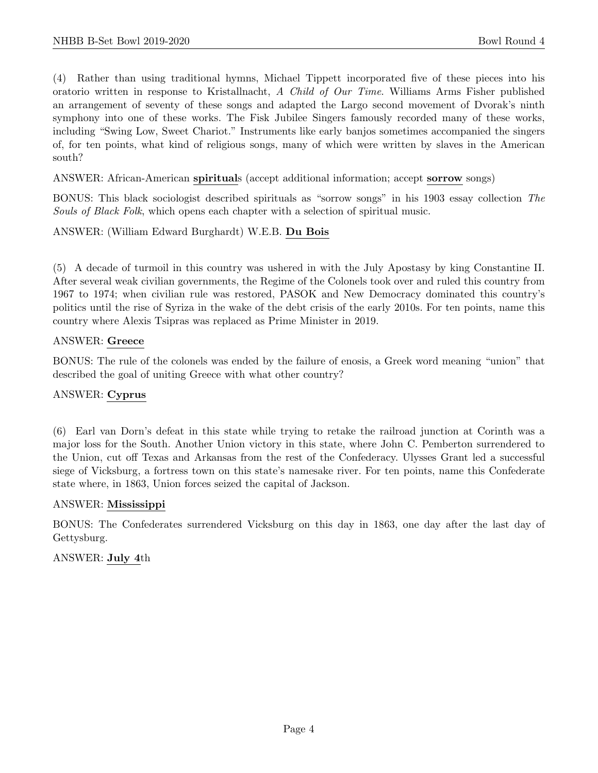(4) Rather than using traditional hymns, Michael Tippett incorporated five of these pieces into his oratorio written in response to Kristallnacht, A Child of Our Time. Williams Arms Fisher published an arrangement of seventy of these songs and adapted the Largo second movement of Dvorak's ninth symphony into one of these works. The Fisk Jubilee Singers famously recorded many of these works, including "Swing Low, Sweet Chariot." Instruments like early banjos sometimes accompanied the singers of, for ten points, what kind of religious songs, many of which were written by slaves in the American south?

ANSWER: African-American spirituals (accept additional information; accept sorrow songs)

BONUS: This black sociologist described spirituals as "sorrow songs" in his 1903 essay collection The Souls of Black Folk, which opens each chapter with a selection of spiritual music.

ANSWER: (William Edward Burghardt) W.E.B. Du Bois

(5) A decade of turmoil in this country was ushered in with the July Apostasy by king Constantine II. After several weak civilian governments, the Regime of the Colonels took over and ruled this country from 1967 to 1974; when civilian rule was restored, PASOK and New Democracy dominated this country's politics until the rise of Syriza in the wake of the debt crisis of the early 2010s. For ten points, name this country where Alexis Tsipras was replaced as Prime Minister in 2019.

#### ANSWER: Greece

BONUS: The rule of the colonels was ended by the failure of enosis, a Greek word meaning "union" that described the goal of uniting Greece with what other country?

#### ANSWER: Cyprus

(6) Earl van Dorn's defeat in this state while trying to retake the railroad junction at Corinth was a major loss for the South. Another Union victory in this state, where John C. Pemberton surrendered to the Union, cut off Texas and Arkansas from the rest of the Confederacy. Ulysses Grant led a successful siege of Vicksburg, a fortress town on this state's namesake river. For ten points, name this Confederate state where, in 1863, Union forces seized the capital of Jackson.

#### ANSWER: Mississippi

BONUS: The Confederates surrendered Vicksburg on this day in 1863, one day after the last day of Gettysburg.

#### ANSWER: July 4th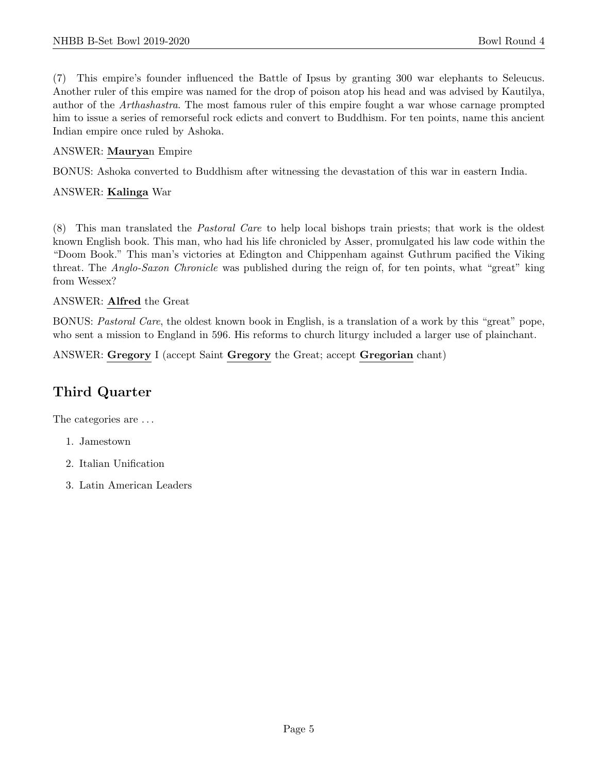(7) This empire's founder influenced the Battle of Ipsus by granting 300 war elephants to Seleucus. Another ruler of this empire was named for the drop of poison atop his head and was advised by Kautilya, author of the Arthashastra. The most famous ruler of this empire fought a war whose carnage prompted him to issue a series of remorseful rock edicts and convert to Buddhism. For ten points, name this ancient Indian empire once ruled by Ashoka.

#### ANSWER: Mauryan Empire

BONUS: Ashoka converted to Buddhism after witnessing the devastation of this war in eastern India.

#### ANSWER: Kalinga War

(8) This man translated the Pastoral Care to help local bishops train priests; that work is the oldest known English book. This man, who had his life chronicled by Asser, promulgated his law code within the "Doom Book." This man's victories at Edington and Chippenham against Guthrum pacified the Viking threat. The Anglo-Saxon Chronicle was published during the reign of, for ten points, what "great" king from Wessex?

#### ANSWER: Alfred the Great

BONUS: Pastoral Care, the oldest known book in English, is a translation of a work by this "great" pope, who sent a mission to England in 596. His reforms to church liturgy included a larger use of plainchant.

ANSWER: Gregory I (accept Saint Gregory the Great; accept Gregorian chant)

# Third Quarter

The categories are  $\dots$ 

- 1. Jamestown
- 2. Italian Unification
- 3. Latin American Leaders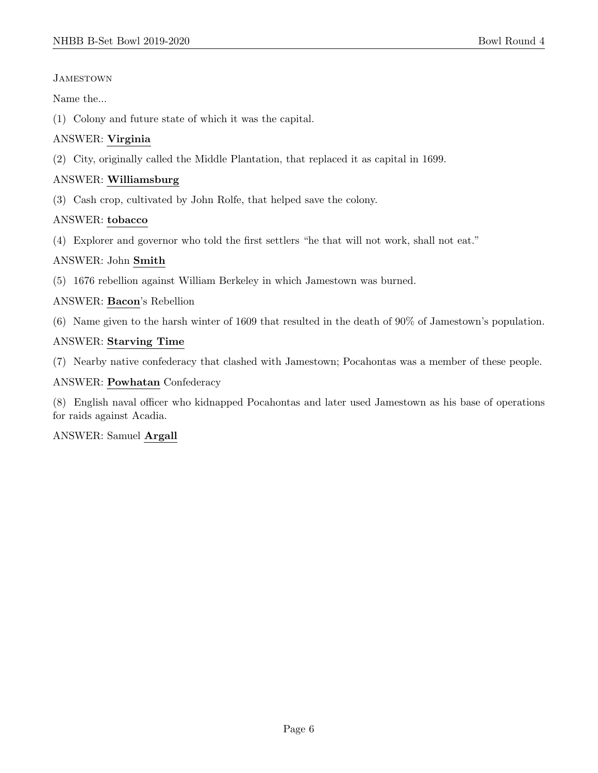## **JAMESTOWN**

Name the...

(1) Colony and future state of which it was the capital.

## ANSWER: Virginia

(2) City, originally called the Middle Plantation, that replaced it as capital in 1699.

## ANSWER: Williamsburg

(3) Cash crop, cultivated by John Rolfe, that helped save the colony.

## ANSWER: tobacco

(4) Explorer and governor who told the first settlers "he that will not work, shall not eat."

## ANSWER: John Smith

(5) 1676 rebellion against William Berkeley in which Jamestown was burned.

## ANSWER: Bacon's Rebellion

(6) Name given to the harsh winter of 1609 that resulted in the death of 90% of Jamestown's population.

## ANSWER: Starving Time

(7) Nearby native confederacy that clashed with Jamestown; Pocahontas was a member of these people.

## ANSWER: Powhatan Confederacy

(8) English naval officer who kidnapped Pocahontas and later used Jamestown as his base of operations for raids against Acadia.

## ANSWER: Samuel Argall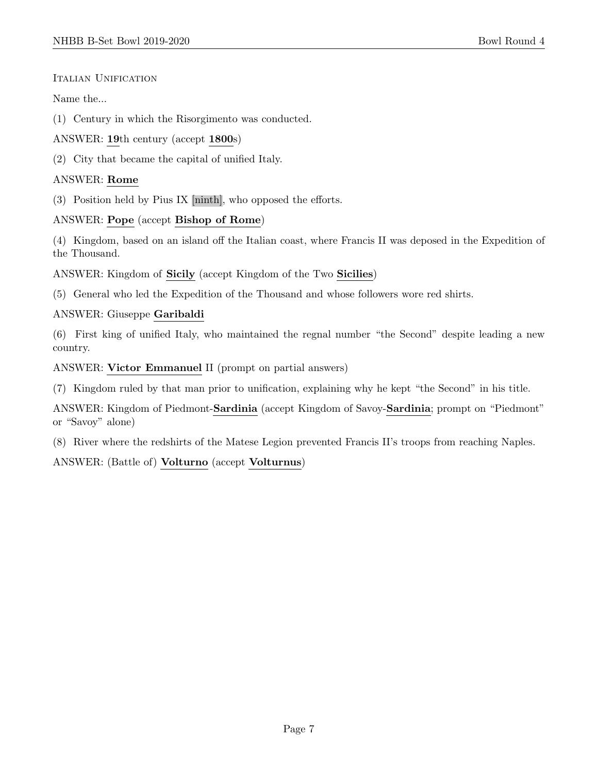## ITALIAN UNIFICATION

Name the...

- (1) Century in which the Risorgimento was conducted.
- ANSWER: 19th century (accept 1800s)
- (2) City that became the capital of unified Italy.

## ANSWER: Rome

(3) Position held by Pius IX [ninth], who opposed the efforts.

## ANSWER: Pope (accept Bishop of Rome)

(4) Kingdom, based on an island off the Italian coast, where Francis II was deposed in the Expedition of the Thousand.

ANSWER: Kingdom of Sicily (accept Kingdom of the Two Sicilies)

(5) General who led the Expedition of the Thousand and whose followers wore red shirts.

## ANSWER: Giuseppe Garibaldi

(6) First king of unified Italy, who maintained the regnal number "the Second" despite leading a new country.

ANSWER: Victor Emmanuel II (prompt on partial answers)

(7) Kingdom ruled by that man prior to unification, explaining why he kept "the Second" in his title.

ANSWER: Kingdom of Piedmont-Sardinia (accept Kingdom of Savoy-Sardinia; prompt on "Piedmont" or "Savoy" alone)

(8) River where the redshirts of the Matese Legion prevented Francis II's troops from reaching Naples.

ANSWER: (Battle of) Volturno (accept Volturnus)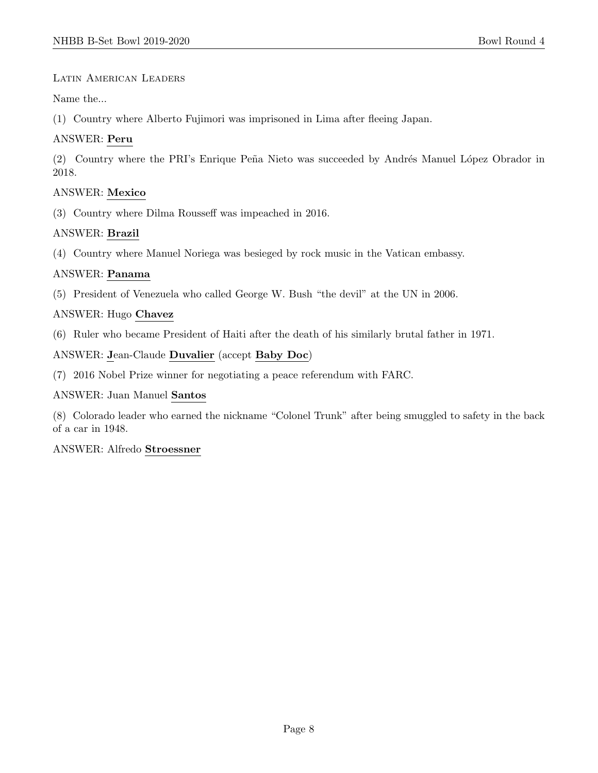## Latin American Leaders

Name the...

(1) Country where Alberto Fujimori was imprisoned in Lima after fleeing Japan.

## ANSWER: Peru

(2) Country where the PRI's Enrique Peña Nieto was succeeded by Andrés Manuel López Obrador in 2018.

## ANSWER: Mexico

(3) Country where Dilma Rousseff was impeached in 2016.

## ANSWER: Brazil

(4) Country where Manuel Noriega was besieged by rock music in the Vatican embassy.

## ANSWER: Panama

(5) President of Venezuela who called George W. Bush "the devil" at the UN in 2006.

## ANSWER: Hugo Chavez

(6) Ruler who became President of Haiti after the death of his similarly brutal father in 1971.

ANSWER: Jean-Claude Duvalier (accept Baby Doc)

(7) 2016 Nobel Prize winner for negotiating a peace referendum with FARC.

#### ANSWER: Juan Manuel Santos

(8) Colorado leader who earned the nickname "Colonel Trunk" after being smuggled to safety in the back of a car in 1948.

#### ANSWER: Alfredo Stroessner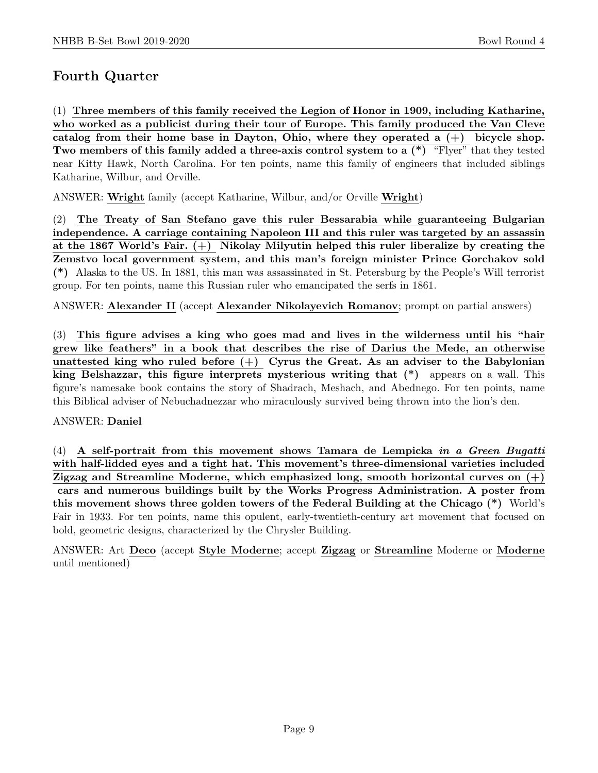# Fourth Quarter

(1) Three members of this family received the Legion of Honor in 1909, including Katharine, who worked as a publicist during their tour of Europe. This family produced the Van Cleve catalog from their home base in Dayton, Ohio, where they operated a  $(+)$  bicycle shop. Two members of this family added a three-axis control system to a (\*) "Flyer" that they tested near Kitty Hawk, North Carolina. For ten points, name this family of engineers that included siblings Katharine, Wilbur, and Orville.

ANSWER: Wright family (accept Katharine, Wilbur, and/or Orville Wright)

(2) The Treaty of San Stefano gave this ruler Bessarabia while guaranteeing Bulgarian independence. A carriage containing Napoleon III and this ruler was targeted by an assassin at the 1867 World's Fair. (+) Nikolay Milyutin helped this ruler liberalize by creating the Zemstvo local government system, and this man's foreign minister Prince Gorchakov sold (\*) Alaska to the US. In 1881, this man was assassinated in St. Petersburg by the People's Will terrorist group. For ten points, name this Russian ruler who emancipated the serfs in 1861.

ANSWER: Alexander II (accept Alexander Nikolayevich Romanov; prompt on partial answers)

(3) This figure advises a king who goes mad and lives in the wilderness until his "hair grew like feathers" in a book that describes the rise of Darius the Mede, an otherwise unattested king who ruled before  $(+)$  Cyrus the Great. As an adviser to the Babylonian king Belshazzar, this figure interprets mysterious writing that (\*) appears on a wall. This figure's namesake book contains the story of Shadrach, Meshach, and Abednego. For ten points, name this Biblical adviser of Nebuchadnezzar who miraculously survived being thrown into the lion's den.

#### ANSWER: Daniel

(4) A self-portrait from this movement shows Tamara de Lempicka in a Green Bugatti with half-lidded eyes and a tight hat. This movement's three-dimensional varieties included Zigzag and Streamline Moderne, which emphasized long, smooth horizontal curves on  $(+)$ cars and numerous buildings built by the Works Progress Administration. A poster from this movement shows three golden towers of the Federal Building at the Chicago (\*) World's Fair in 1933. For ten points, name this opulent, early-twentieth-century art movement that focused on bold, geometric designs, characterized by the Chrysler Building.

ANSWER: Art Deco (accept Style Moderne; accept Zigzag or Streamline Moderne or Moderne until mentioned)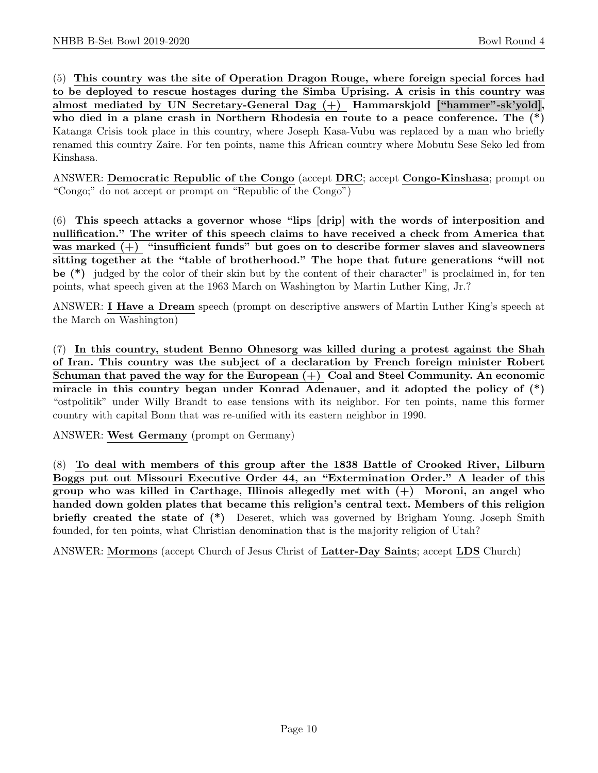(5) This country was the site of Operation Dragon Rouge, where foreign special forces had to be deployed to rescue hostages during the Simba Uprising. A crisis in this country was almost mediated by UN Secretary-General Dag (+) Hammarskjold ["hammer"-sk'yold], who died in a plane crash in Northern Rhodesia en route to a peace conference. The (\*) Katanga Crisis took place in this country, where Joseph Kasa-Vubu was replaced by a man who briefly renamed this country Zaire. For ten points, name this African country where Mobutu Sese Seko led from Kinshasa.

ANSWER: Democratic Republic of the Congo (accept DRC; accept Congo-Kinshasa; prompt on "Congo;" do not accept or prompt on "Republic of the Congo")

(6) This speech attacks a governor whose "lips [drip] with the words of interposition and nullification." The writer of this speech claims to have received a check from America that was marked  $(+)$  "insufficient funds" but goes on to describe former slaves and slaveowners sitting together at the "table of brotherhood." The hope that future generations "will not be (\*) judged by the color of their skin but by the content of their character" is proclaimed in, for ten points, what speech given at the 1963 March on Washington by Martin Luther King, Jr.?

ANSWER: I Have a Dream speech (prompt on descriptive answers of Martin Luther King's speech at the March on Washington)

(7) In this country, student Benno Ohnesorg was killed during a protest against the Shah of Iran. This country was the subject of a declaration by French foreign minister Robert Schuman that paved the way for the European  $(+)$  Coal and Steel Community. An economic miracle in this country began under Konrad Adenauer, and it adopted the policy of (\*) "ostpolitik" under Willy Brandt to ease tensions with its neighbor. For ten points, name this former country with capital Bonn that was re-unified with its eastern neighbor in 1990.

ANSWER: West Germany (prompt on Germany)

(8) To deal with members of this group after the 1838 Battle of Crooked River, Lilburn Boggs put out Missouri Executive Order 44, an "Extermination Order." A leader of this group who was killed in Carthage, Illinois allegedly met with (+) Moroni, an angel who handed down golden plates that became this religion's central text. Members of this religion briefly created the state of (\*) Deseret, which was governed by Brigham Young. Joseph Smith founded, for ten points, what Christian denomination that is the majority religion of Utah?

ANSWER: Mormons (accept Church of Jesus Christ of Latter-Day Saints; accept LDS Church)